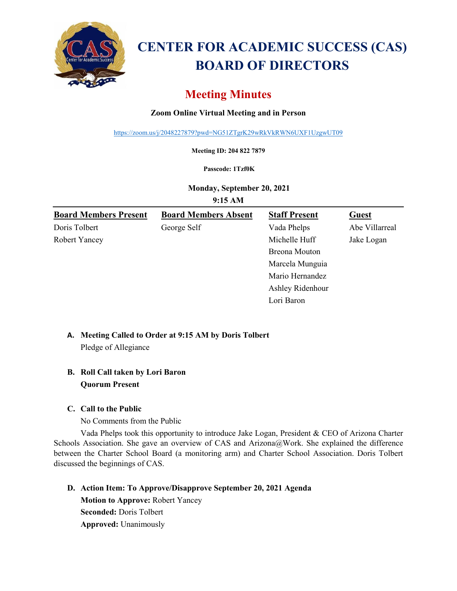

# **CENTER FOR ACADEMIC SUCCESS (CAS) BOARD OF DIRECTORS**

## **Meeting Minutes**

## **Zoom Online Virtual Meeting and in Person**

<https://zoom.us/j/2048227879?pwd=NG51ZTgrK29wRkVkRWN6UXF1UzgwUT09>

**Meeting ID: 204 822 7879**

#### **Passcode: 1Tzf0K**

**Monday, September 20, 2021**

**9:15 AM**

| <b>Board Members Present</b> | <b>Board Members Absent</b> | <b>Staff Present</b> | <b>Guest</b>   |
|------------------------------|-----------------------------|----------------------|----------------|
| Doris Tolbert                | George Self                 | Vada Phelps          | Abe Villarreal |
| Robert Yancey                |                             | Michelle Huff        | Jake Logan     |
|                              |                             | <b>Breona</b> Mouton |                |
|                              |                             | Marcela Munguia      |                |
|                              |                             | Mario Hernandez      |                |
|                              |                             | Ashley Ridenhour     |                |
|                              |                             | Lori Baron           |                |

#### **A. Meeting Called to Order at 9:15 AM by Doris Tolbert** Pledge of Allegiance

## **B. Roll Call taken by Lori Baron Quorum Present**

#### **C. Call to the Public**

No Comments from the Public

Vada Phelps took this opportunity to introduce Jake Logan, President & CEO of Arizona Charter Schools Association. She gave an overview of CAS and Arizona@Work. She explained the difference between the Charter School Board (a monitoring arm) and Charter School Association. Doris Tolbert discussed the beginnings of CAS.

## **D. Action Item: To Approve/Disapprove September 20, 2021 Agenda Motion to Approve:** Robert Yancey **Seconded:** Doris Tolbert **Approved:** Unanimously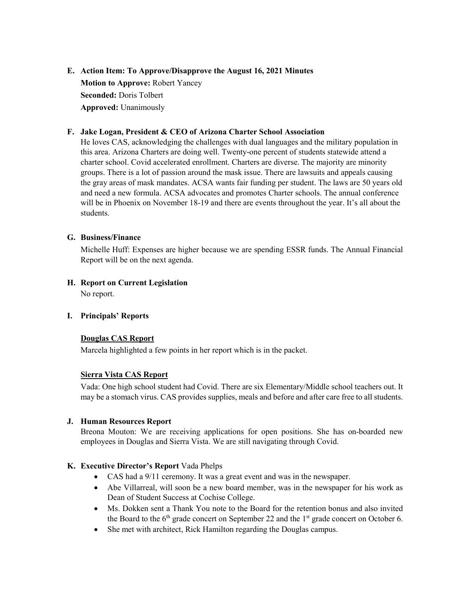## **E. Action Item: To Approve/Disapprove the August 16, 2021 Minutes Motion to Approve:** Robert Yancey **Seconded:** Doris Tolbert **Approved:** Unanimously

#### **F. Jake Logan, President & CEO of Arizona Charter School Association**

He loves CAS, acknowledging the challenges with dual languages and the military population in this area. Arizona Charters are doing well. Twenty-one percent of students statewide attend a charter school. Covid accelerated enrollment. Charters are diverse. The majority are minority groups. There is a lot of passion around the mask issue. There are lawsuits and appeals causing the gray areas of mask mandates. ACSA wants fair funding per student. The laws are 50 years old and need a new formula. ACSA advocates and promotes Charter schools. The annual conference will be in Phoenix on November 18-19 and there are events throughout the year. It's all about the students.

#### **G. Business/Finance**

Michelle Huff: Expenses are higher because we are spending ESSR funds. The Annual Financial Report will be on the next agenda.

**H. Report on Current Legislation** No report.

#### **I. Principals' Reports**

#### **Douglas CAS Report**

Marcela highlighted a few points in her report which is in the packet.

#### **Sierra Vista CAS Report**

Vada: One high school student had Covid. There are six Elementary/Middle school teachers out. It may be a stomach virus. CAS provides supplies, meals and before and after care free to all students.

#### **J. Human Resources Report**

Breona Mouton: We are receiving applications for open positions. She has on-boarded new employees in Douglas and Sierra Vista. We are still navigating through Covid.

#### **K. Executive Director's Report** Vada Phelps

- CAS had a 9/11 ceremony. It was a great event and was in the newspaper.
- Abe Villarreal, will soon be a new board member, was in the newspaper for his work as Dean of Student Success at Cochise College.
- Ms. Dokken sent a Thank You note to the Board for the retention bonus and also invited the Board to the  $6<sup>th</sup>$  grade concert on September 22 and the  $1<sup>st</sup>$  grade concert on October 6.
- She met with architect, Rick Hamilton regarding the Douglas campus.